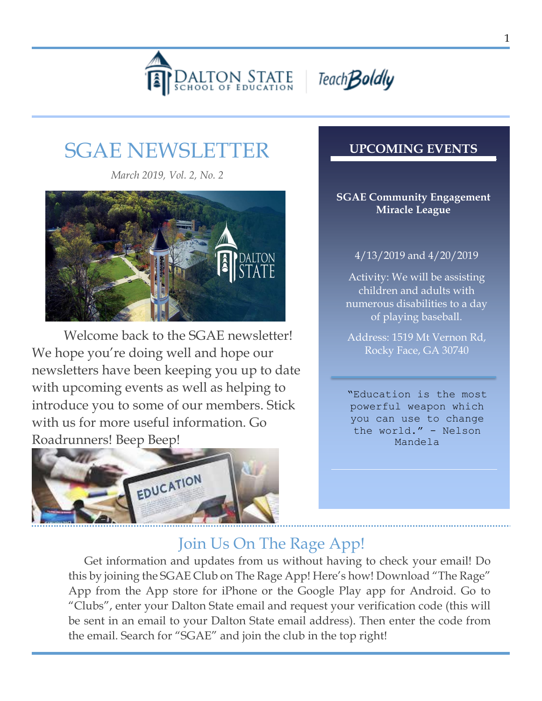



# SGAE NEWSLETTER

*March 2019, Vol. 2, No. 2*



Welcome back to the SGAE newsletter! We hope you're doing well and hope our newsletters have been keeping you up to date with upcoming events as well as helping to introduce you to some of our members. Stick with us for more useful information. Go Roadrunners! Beep Beep!



### **UPCOMING EVENTS**

#### **SGAE Community Engagement Miracle League**

### 4/13/2019 and 4/20/2019

Activity: We will be assisting children and adults with numerous disabilities to a day of playing baseball.

Address: 1519 Mt Vernon Rd, Rocky Face, GA 30740

"Education is the most powerful weapon which you can use to change the world." - Nelson Mandela

## Join Us On The Rage App!

. this by joining the SGAE Club on The Rage App! Here's how! Download "The Rage" Get information and updates from us without having to check your email! Do App from the App store for iPhone or the Google Play app for Android. Go to "Clubs", enter your Dalton State email and request your verification code (this will be sent in an email to your Dalton State email address). Then enter the code from the email. Search for "SGAE" and join the club in the top right!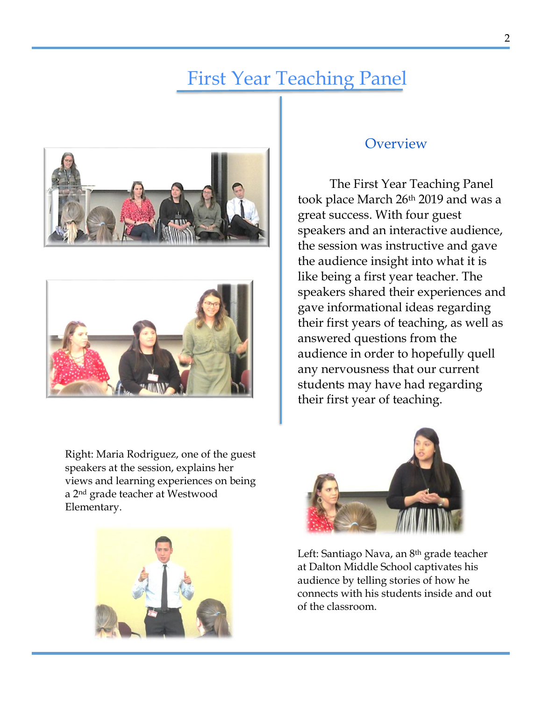## First Year Teaching Panel





Right: Maria Rodriguez, one of the guest speakers at the session, explains her views and learning experiences on being a 2nd grade teacher at Westwood Elementary.



### **Overview**

The First Year Teaching Panel took place March 26th 2019 and was a great success. With four guest speakers and an interactive audience, the session was instructive and gave the audience insight into what it is like being a first year teacher. The speakers shared their experiences and gave informational ideas regarding their first years of teaching, as well as answered questions from the audience in order to hopefully quell any nervousness that our current students may have had regarding their first year of teaching.



Left: Santiago Nava, an 8th grade teacher at Dalton Middle School captivates his audience by telling stories of how he connects with his students inside and out of the classroom.